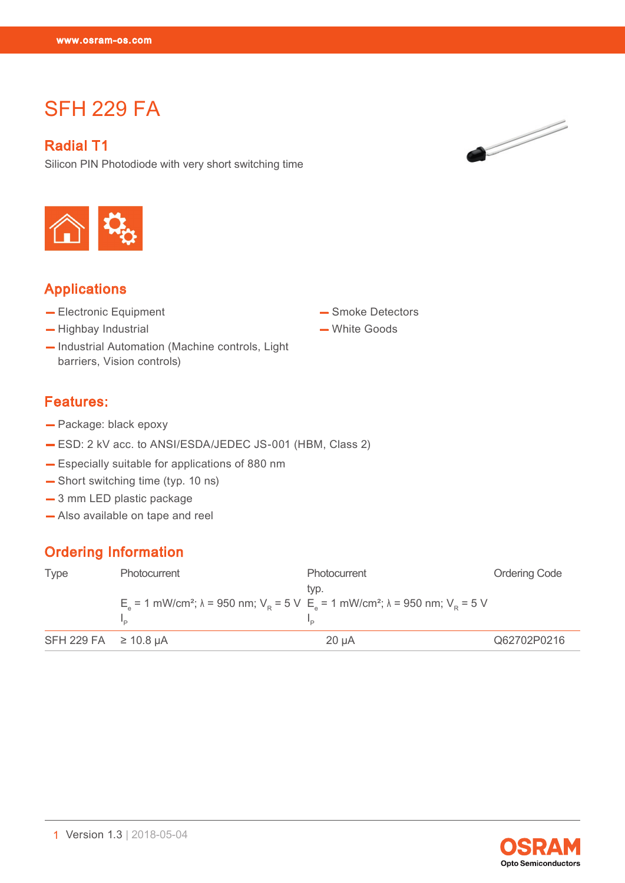# **SFH 229 FA**

#### Radial T1

SFH 229 FA

Silicon PIN Photodiode with very short switching time



# Applications

- Electronic Equipment
- Highbay Industrial
- Industrial Automation (Machine controls, Light barriers, Vision controls)

# — White Goods

— Smoke Detectors

#### Features:

- Package: black epoxy
- ESD: 2 kV acc. to ANSI/ESDA/JEDEC JS-001 (HBM, Class 2)
- Especially suitable for applications of 880 nm
- Short switching time (typ. 10 ns)
- 3 mm LED plastic package
- Also available on tape and reel

# Ordering Information

| <b>Type</b>               | Photocurrent                                                                                                                    | <b>Photocurrent</b><br>tvp. | <b>Ordering Code</b> |
|---------------------------|---------------------------------------------------------------------------------------------------------------------------------|-----------------------------|----------------------|
|                           | $E_s$ = 1 mW/cm <sup>2</sup> ; λ = 950 nm; V <sub>p</sub> = 5 V $E_s$ = 1 mW/cm <sup>2</sup> ; λ = 950 nm; V <sub>p</sub> = 5 V |                             |                      |
| SFH 229 FA $\geq$ 10.8 µA |                                                                                                                                 | $20 \mu A$                  | Q62702P0216          |



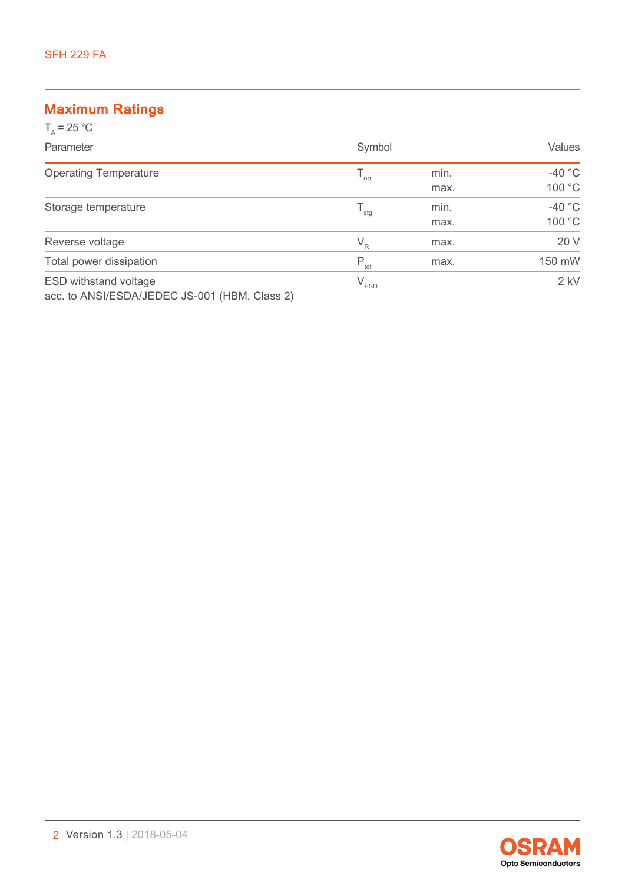## Maximum Ratings

| $T_a = 25 °C$                                                                 |                  |              |                    |
|-------------------------------------------------------------------------------|------------------|--------------|--------------------|
| Parameter                                                                     | Symbol           |              | Values             |
| <b>Operating Temperature</b>                                                  | $T_{op}$         | min.<br>max. | $-40$ °C<br>100 °C |
| Storage temperature                                                           | $T_{\text{stg}}$ | min.<br>max. | $-40 °C$<br>100 °C |
| Reverse voltage                                                               | $V_{R}$          | max.         | 20 V               |
| Total power dissipation                                                       | $P_{\text{tot}}$ | max.         | 150 mW             |
| <b>ESD withstand voltage</b><br>acc. to ANSI/ESDA/JEDEC JS-001 (HBM, Class 2) | $V_{ESD}$        |              | $2$ kV             |

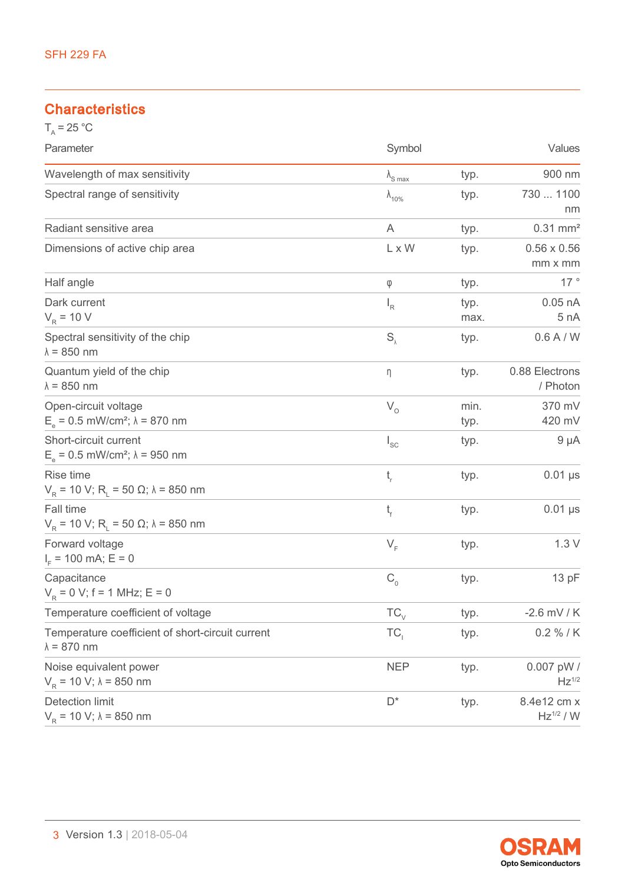## **Characteristics**

| $T_A = 25 °C$                                                                |                          |              |                                      |
|------------------------------------------------------------------------------|--------------------------|--------------|--------------------------------------|
| Parameter                                                                    | Symbol                   |              | Values                               |
| Wavelength of max sensitivity                                                | $\lambda_{\text{S max}}$ | typ.         | 900 nm                               |
| Spectral range of sensitivity                                                | $\lambda_{10\%}$         | typ.         | 730  1100<br>nm                      |
| Radiant sensitive area                                                       | A                        | typ.         | $0.31$ mm <sup>2</sup>               |
| Dimensions of active chip area                                               | L x W                    | typ.         | $0.56 \times 0.56$<br>$mm \times mm$ |
| Half angle                                                                   | φ                        | typ.         | 17 $^{\circ}$                        |
| Dark current<br>$V_R$ = 10 V                                                 | $I_R$                    | typ.<br>max. | $0.05$ nA<br>5 nA                    |
| Spectral sensitivity of the chip<br>$\lambda = 850$ nm                       | $S_{\lambda}$            | typ.         | 0.6A/W                               |
| Quantum yield of the chip<br>$\lambda = 850$ nm                              | η                        | typ.         | 0.88 Electrons<br>/ Photon           |
| Open-circuit voltage<br>$E_a = 0.5$ mW/cm <sup>2</sup> ; $\lambda = 870$ nm  | $V_{o}$                  | min.<br>typ. | 370 mV<br>420 mV                     |
| Short-circuit current<br>$E_e = 0.5$ mW/cm <sup>2</sup> ; $\lambda = 950$ nm | $I_{SC}$                 | typ.         | $9 \mu A$                            |
| Rise time<br>$V_R$ = 10 V; R <sub>i</sub> = 50 Ω; λ = 850 nm                 | $t_{\rm r}$              | typ.         | $0.01$ $\mu s$                       |
| Fall time<br>$V_R$ = 10 V; R <sub>L</sub> = 50 Ω; λ = 850 nm                 | t,                       | typ.         | $0.01$ µs                            |
| Forward voltage<br>$I_{E}$ = 100 mA; E = 0                                   | $V_F$                    | typ.         | 1.3V                                 |
| Capacitance<br>$V_{\rm p} = 0$ V; f = 1 MHz; E = 0                           | $C_{0}$                  | typ.         | 13 pF                                |
| Temperature coefficient of voltage                                           | $TC_{\vee}$              | typ.         | $-2.6$ mV / K                        |
| Temperature coefficient of short-circuit current<br>$\lambda = 870$ nm       | TC <sub>1</sub>          | typ.         | $0.2 \% / K$                         |
| Noise equivalent power<br>$V_R$ = 10 V; $\lambda$ = 850 nm                   | <b>NEP</b>               | typ.         | 0.007 pW /<br>$Hz^{1/2}$             |
| <b>Detection limit</b><br>$V_{\rm p}$ = 10 V; $\lambda$ = 850 nm             | $D^*$                    | typ.         | 8.4e12 cm x<br>$Hz^{1/2} / W$        |

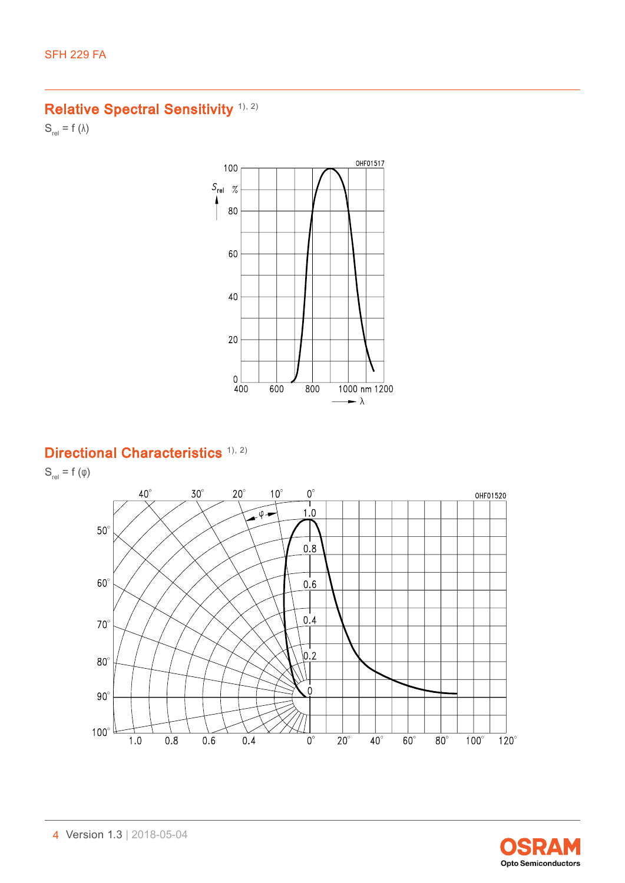# Relative Spectral Sensitivity<sup>([1\)](#page-11-0), [2\)](#page-11-1)</sup>

 $S_{rel} = f (\lambda)$ 



# Directional Characteristics<sup>[1\),](#page-11-0) [2\)](#page-11-1)</sup>

 $S_{rel} = f(\varphi)$ 



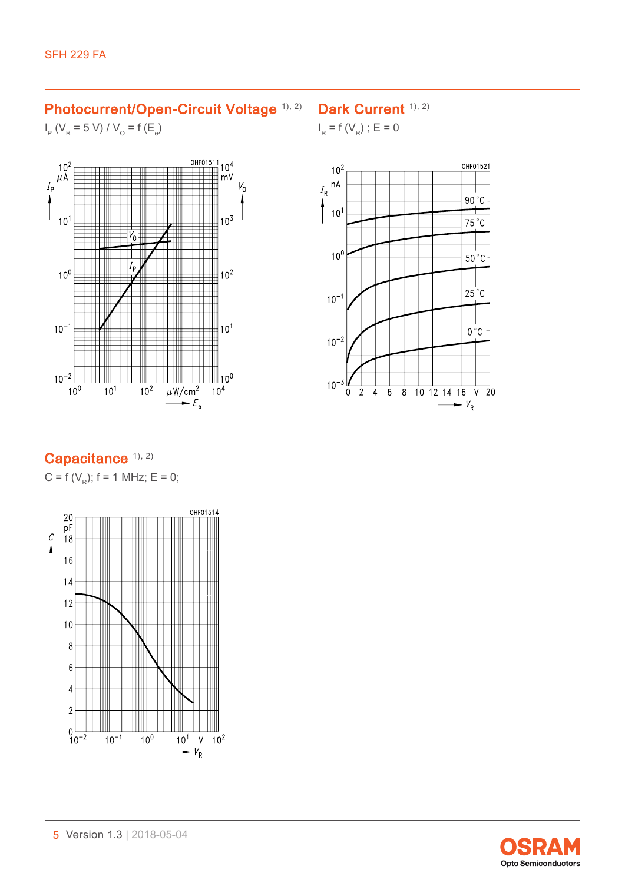#### Photocurrent/Open-Circuit Voltage [1\),](#page-11-0) [2\)](#page-11-1)

#### Dark Current <sup>[1\)](#page-11-0), [2\)](#page-11-1)</sup>

 $I_R = f(V_R)$ ; E = 0

 $I_{\rm p}$  (V<sub>R</sub> = 5 V) / V<sub>o</sub> = f (E<sub>e</sub>)







# Capacitance [1\)](#page-11-0), [2\)](#page-11-1)

C = f ( $V_R$ ); f = 1 MHz; E = 0;



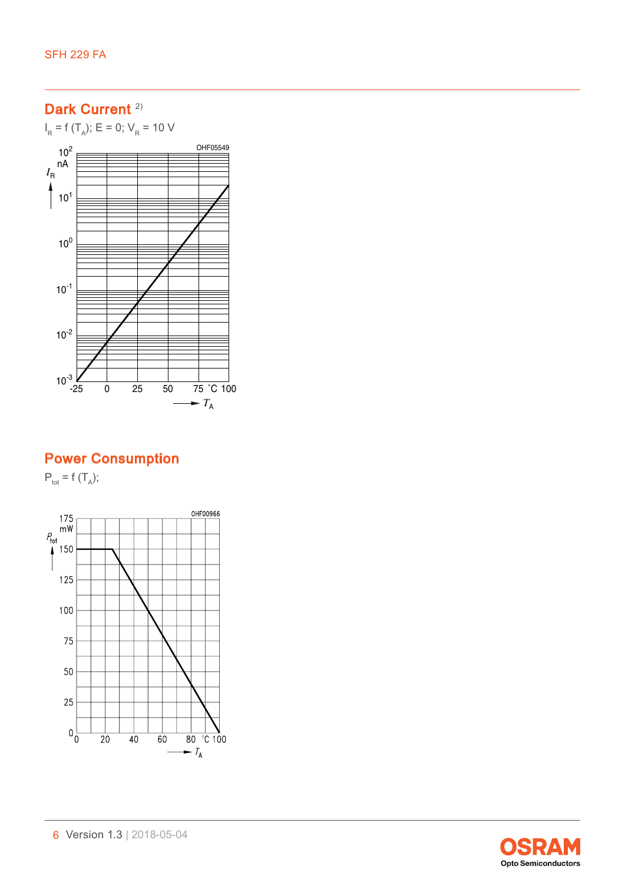# Dark Current<sup>[2\)](#page-11-1)</sup>

 $I_R$  = f (T<sub>A</sub>); E = 0; V<sub>R</sub> = 10 V



# Power Consumption

 $P_{\text{tot}} = f(T_A);$ 



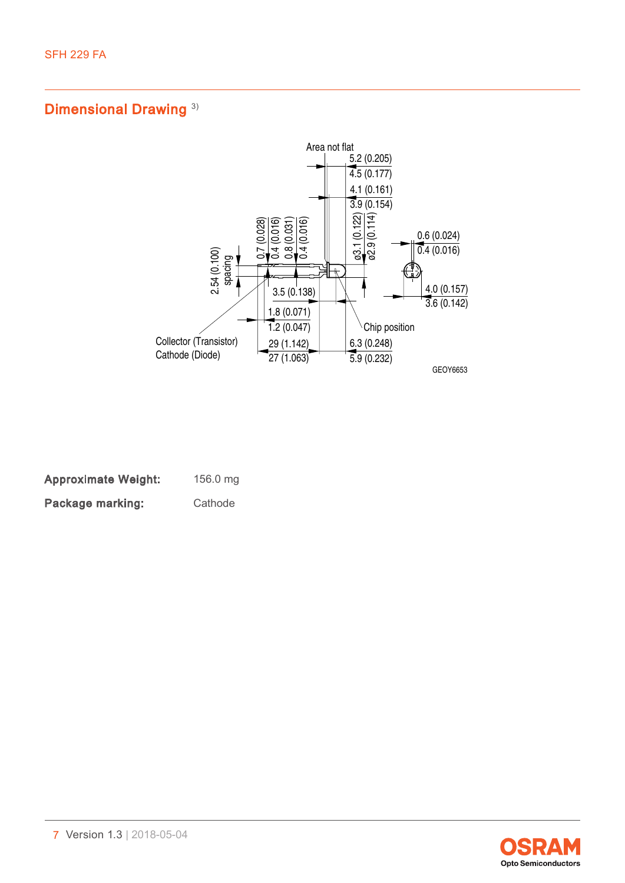# Dimensional Drawing<sup>3)</sup>



| <b>Approximate Weight:</b> | 156.0 mg |
|----------------------------|----------|
| Package marking:           | Cathode  |

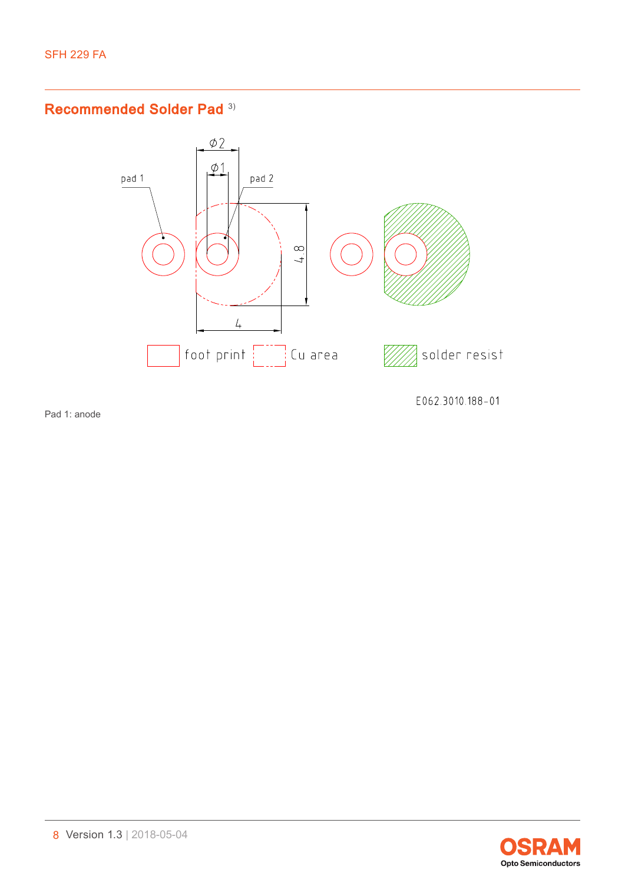### Recommended Solder Pad [3\)](#page-11-2)



Pad 1: anode

E062.3010.188-01

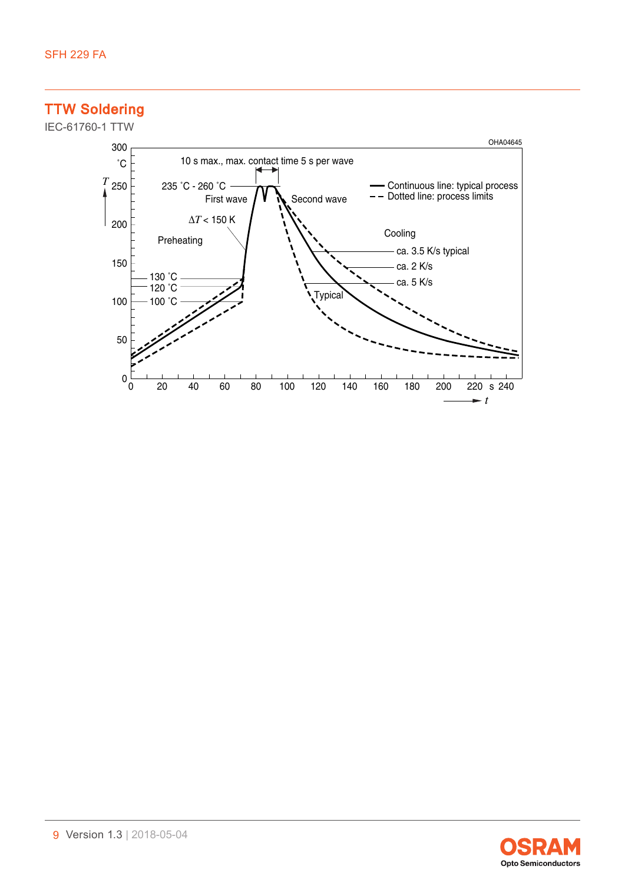# TTW Soldering





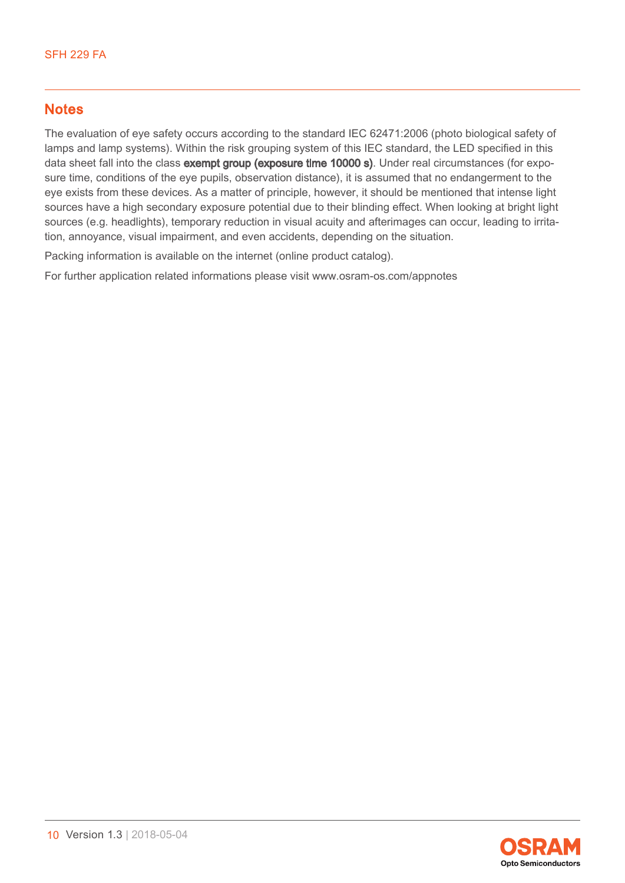### **Notes**

The evaluation of eye safety occurs according to the standard IEC 62471:2006 (photo biological safety of lamps and lamp systems). Within the risk grouping system of this IEC standard, the LED specified in this data sheet fall into the class exempt group (exposure time 10000 s). Under real circumstances (for exposure time, conditions of the eye pupils, observation distance), it is assumed that no endangerment to the eye exists from these devices. As a matter of principle, however, it should be mentioned that intense light sources have a high secondary exposure potential due to their blinding effect. When looking at bright light sources (e.g. headlights), temporary reduction in visual acuity and afterimages can occur, leading to irritation, annoyance, visual impairment, and even accidents, depending on the situation.

Packing information is available on the internet (online product catalog).

For further application related informations please visit www.osram-os.com/appnotes

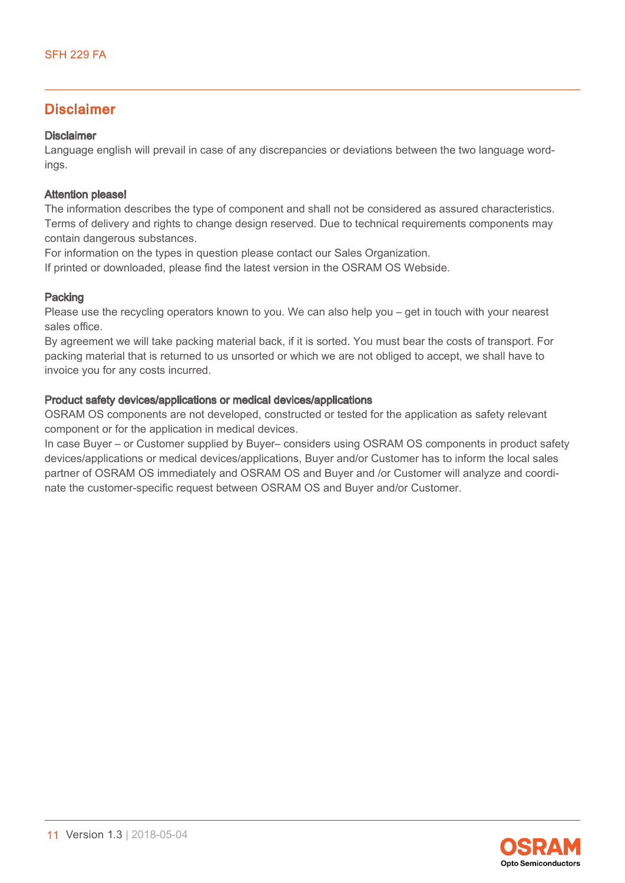### Disclaimer

#### Disclaimer

Language english will prevail in case of any discrepancies or deviations between the two language wordings.

#### Attention please!

The information describes the type of component and shall not be considered as assured characteristics. Terms of delivery and rights to change design reserved. Due to technical requirements components may contain dangerous substances.

For information on the types in question please contact our Sales Organization.

If printed or downloaded, please find the latest version in the OSRAM OS Webside.

#### Packing

Please use the recycling operators known to you. We can also help you – get in touch with your nearest sales office.

By agreement we will take packing material back, if it is sorted. You must bear the costs of transport. For packing material that is returned to us unsorted or which we are not obliged to accept, we shall have to invoice you for any costs incurred.

#### Product safety devices/applications or medical devices/applications

OSRAM OS components are not developed, constructed or tested for the application as safety relevant component or for the application in medical devices.

In case Buyer – or Customer supplied by Buyer– considers using OSRAM OS components in product safety devices/applications or medical devices/applications, Buyer and/or Customer has to inform the local sales partner of OSRAM OS immediately and OSRAM OS and Buyer and /or Customer will analyze and coordinate the customer-specific request between OSRAM OS and Buyer and/or Customer.

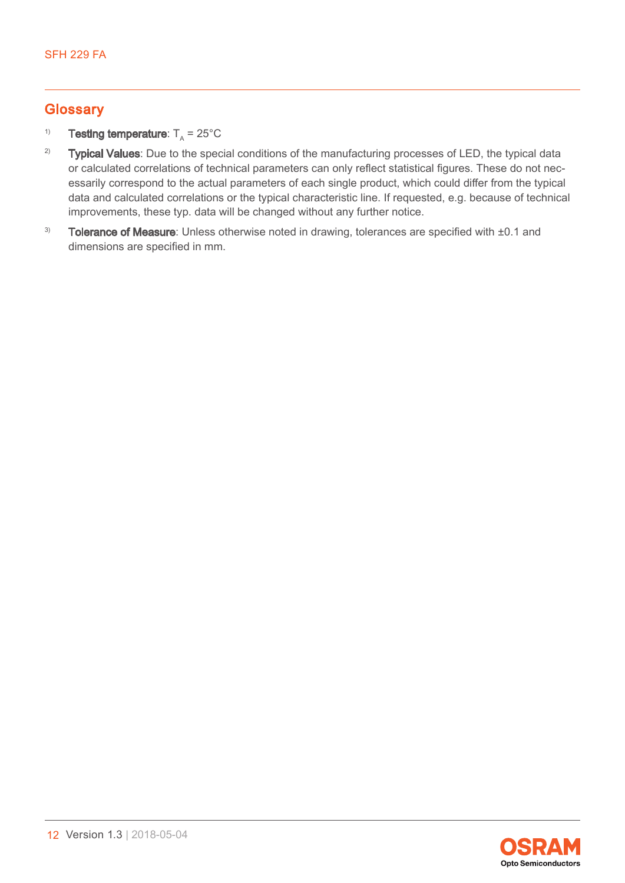### **Glossary**

#### <span id="page-11-0"></span><sup>1)</sup> Testing temperature:  $T_A = 25^{\circ}$ C

- <span id="page-11-1"></span><sup>2)</sup> Typical Values: Due to the special conditions of the manufacturing processes of LED, the typical data or calculated correlations of technical parameters can only reflect statistical figures. These do not necessarily correspond to the actual parameters of each single product, which could differ from the typical data and calculated correlations or the typical characteristic line. If requested, e.g. because of technical improvements, these typ. data will be changed without any further notice.
- <span id="page-11-2"></span> $3)$  Tolerance of Measure: Unless otherwise noted in drawing, tolerances are specified with  $\pm 0.1$  and dimensions are specified in mm.